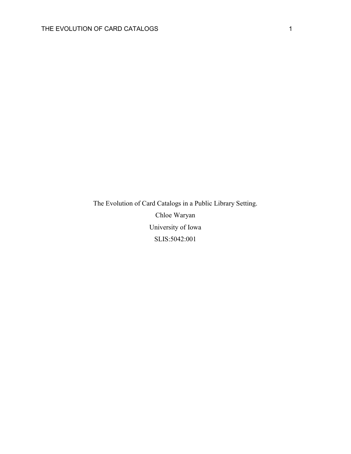The Evolution of Card Catalogs in a Public Library Setting. Chloe Waryan University of Iowa SLIS:5042:001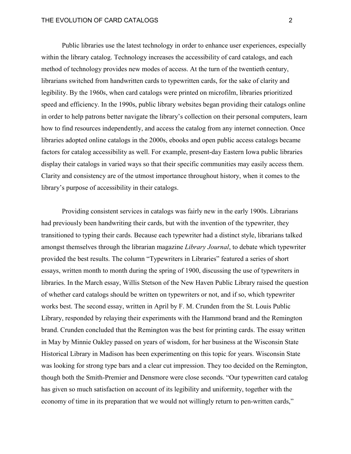# THE EVOLUTION OF CARD CATALOGS **2** 2

Public libraries use the latest technology in order to enhance user experiences, especially within the library catalog. Technology increases the accessibility of card catalogs, and each method of technology provides new modes of access. At the turn of the twentieth century, librarians switched from handwritten cards to typewritten cards, for the sake of clarity and legibility. By the 1960s, when card catalogs were printed on microfilm, libraries prioritized speed and efficiency. In the 1990s, public library websites began providing their catalogs online in order to help patrons better navigate the library's collection on their personal computers, learn how to find resources independently, and access the catalog from any internet connection. Once libraries adopted online catalogs in the 2000s, ebooks and open public access catalogs became factors for catalog accessibility as well. For example, present-day Eastern Iowa public libraries display their catalogs in varied ways so that their specific communities may easily access them. Clarity and consistency are of the utmost importance throughout history, when it comes to the library's purpose of accessibility in their catalogs.

Providing consistent services in catalogs was fairly new in the early 1900s. Librarians had previously been handwriting their cards, but with the invention of the typewriter, they transitioned to typing their cards. Because each typewriter had a distinct style, librarians talked amongst themselves through the librarian magazine *Library Journal*, to debate which typewriter provided the best results. The column "Typewriters in Libraries" featured a series of short essays, written month to month during the spring of 1900, discussing the use of typewriters in libraries. In the March essay, Willis Stetson of the New Haven Public Library raised the question of whether card catalogs should be written on typewriters or not, and if so, which typewriter works best. The second essay, written in April by F. M. Crunden from the St. Louis Public Library, responded by relaying their experiments with the Hammond brand and the Remington brand. Crunden concluded that the Remington was the best for printing cards. The essay written in May by Minnie Oakley passed on years of wisdom, for her business at the Wisconsin State Historical Library in Madison has been experimenting on this topic for years. Wisconsin State was looking for strong type bars and a clear cut impression. They too decided on the Remington, though both the Smith-Premier and Densmore were close seconds. "Our typewritten card catalog has given so much satisfaction on account of its legibility and uniformity, together with the economy of time in its preparation that we would not willingly return to pen-written cards,"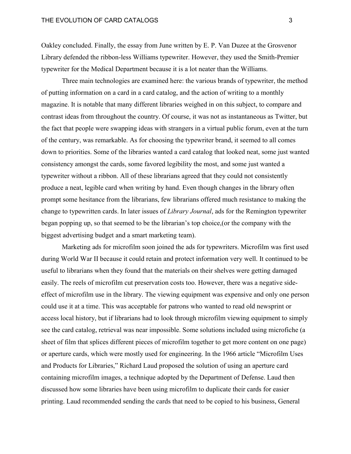Oakley concluded. Finally, the essay from June written by E. P. Van Duzee at the Grosvenor Library defended the ribbon-less Williams typewriter. However, they used the Smith-Premier typewriter for the Medical Department because it is a lot neater than the Williams.

Three main technologies are examined here: the various brands of typewriter, the method of putting information on a card in a card catalog, and the action of writing to a monthly magazine. It is notable that many different libraries weighed in on this subject, to compare and contrast ideas from throughout the country. Of course, it was not as instantaneous as Twitter, but the fact that people were swapping ideas with strangers in a virtual public forum, even at the turn of the century, was remarkable. As for choosing the typewriter brand, it seemed to all comes down to priorities. Some of the libraries wanted a card catalog that looked neat, some just wanted consistency amongst the cards, some favored legibility the most, and some just wanted a typewriter without a ribbon. All of these librarians agreed that they could not consistently produce a neat, legible card when writing by hand. Even though changes in the library often prompt some hesitance from the librarians, few librarians offered much resistance to making the change to typewritten cards. In later issues of *Library Journal*, ads for the Remington typewriter began popping up, so that seemed to be the librarian's top choice,(or the company with the biggest advertising budget and a smart marketing team).

Marketing ads for microfilm soon joined the ads for typewriters. Microfilm was first used during World War II because it could retain and protect information very well. It continued to be useful to librarians when they found that the materials on their shelves were getting damaged easily. The reels of microfilm cut preservation costs too. However, there was a negative sideeffect of microfilm use in the library. The viewing equipment was expensive and only one person could use it at a time. This was acceptable for patrons who wanted to read old newsprint or access local history, but if librarians had to look through microfilm viewing equipment to simply see the card catalog, retrieval was near impossible. Some solutions included using microfiche (a sheet of film that splices different pieces of microfilm together to get more content on one page) or aperture cards, which were mostly used for engineering. In the 1966 article "Microfilm Uses and Products for Libraries," Richard Laud proposed the solution of using an aperture card containing microfilm images, a technique adopted by the Department of Defense. Laud then discussed how some libraries have been using microfilm to duplicate their cards for easier printing. Laud recommended sending the cards that need to be copied to his business, General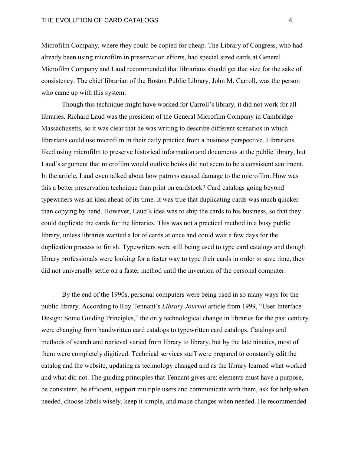# THE EVOLUTION OF CARD CATALOGS 4

Microfilm Company, where they could be copied for cheap. The Library of Congress, who had already been using microfilm in preservation efforts, had special sized cards at General Microfilm Company and Laud recommended that librarians should get that size for the sake of consistency. The chief librarian of the Boston Public Library, John M. Carroll, was the person who came up with this system.

Though this technique might have worked for Carroll's library, it did not work for all libraries. Richard Laud was the president of the General Microfilm Company in Cambridge Massachusetts, so it was clear that he was writing to describe different scenarios in which librarians could use microfilm in their daily practice from a business perspective. Librarians liked using microfilm to preserve historical information and documents at the public library, but Laud's argument that microfilm would outlive books did not seem to be a consistent sentiment. In the article, Laud even talked about how patrons caused damage to the microfilm. How was this a better preservation technique than print on cardstock? Card catalogs going beyond typewriters was an idea ahead of its time. It was true that duplicating cards was much quicker than copying by hand. However, Laud's idea was to ship the cards to his business, so that they could duplicate the cards for the libraries. This was not a practical method in a busy public library, unless libraries wanted a lot of cards at once and could wait a few days for the duplication process to finish. Typewriters were still being used to type card catalogs and though library professionals were looking for a faster way to type their cards in order to save time, they did not universally settle on a faster method until the invention of the personal computer.

By the end of the 1990s, personal computers were being used in so many ways for the public library. According to Roy Tennant's *Library Journal* article from 1999, "User Interface Design: Some Guiding Principles," the only technological change in libraries for the past century were changing from handwritten card catalogs to typewritten card catalogs. Catalogs and methods of search and retrieval varied from library to library, but by the late nineties, most of them were completely digitized. Technical services staff were prepared to constantly edit the catalog and the website, updating as technology changed and as the library learned what worked and what did not. The guiding principles that Tennant gives are: elements must have a purpose, be consistent, be efficient, support multiple users and communicate with them, ask for help when needed, choose labels wisely, keep it simple, and make changes when needed. He recommended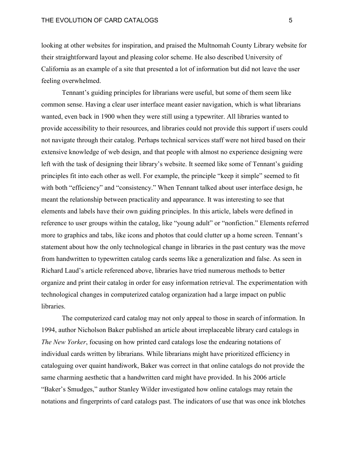looking at other websites for inspiration, and praised the Multnomah County Library website for their straightforward layout and pleasing color scheme. He also described University of California as an example of a site that presented a lot of information but did not leave the user feeling overwhelmed.

Tennant's guiding principles for librarians were useful, but some of them seem like common sense. Having a clear user interface meant easier navigation, which is what librarians wanted, even back in 1900 when they were still using a typewriter. All libraries wanted to provide accessibility to their resources, and libraries could not provide this support if users could not navigate through their catalog. Perhaps technical services staff were not hired based on their extensive knowledge of web design, and that people with almost no experience designing were left with the task of designing their library's website. It seemed like some of Tennant's guiding principles fit into each other as well. For example, the principle "keep it simple" seemed to fit with both "efficiency" and "consistency." When Tennant talked about user interface design, he meant the relationship between practicality and appearance. It was interesting to see that elements and labels have their own guiding principles. In this article, labels were defined in reference to user groups within the catalog, like "young adult" or "nonfiction." Elements referred more to graphics and tabs, like icons and photos that could clutter up a home screen. Tennant's statement about how the only technological change in libraries in the past century was the move from handwritten to typewritten catalog cards seems like a generalization and false. As seen in Richard Laud's article referenced above, libraries have tried numerous methods to better organize and print their catalog in order for easy information retrieval. The experimentation with technological changes in computerized catalog organization had a large impact on public libraries.

The computerized card catalog may not only appeal to those in search of information. In 1994, author Nicholson Baker published an article about irreplaceable library card catalogs in *The New Yorker*, focusing on how printed card catalogs lose the endearing notations of individual cards written by librarians. While librarians might have prioritized efficiency in cataloguing over quaint handiwork, Baker was correct in that online catalogs do not provide the same charming aesthetic that a handwritten card might have provided. In his 2006 article "Baker's Smudges," author Stanley Wilder investigated how online catalogs may retain the notations and fingerprints of card catalogs past. The indicators of use that was once ink blotches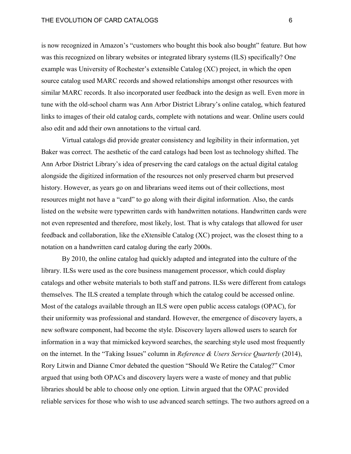# THE EVOLUTION OF CARD CATALOGS 6

is now recognized in Amazon's "customers who bought this book also bought" feature. But how was this recognized on library websites or integrated library systems (ILS) specifically? One example was University of Rochester's extensible Catalog (XC) project, in which the open source catalog used MARC records and showed relationships amongst other resources with similar MARC records. It also incorporated user feedback into the design as well. Even more in tune with the old-school charm was Ann Arbor District Library's online catalog, which featured links to images of their old catalog cards, complete with notations and wear. Online users could also edit and add their own annotations to the virtual card.

Virtual catalogs did provide greater consistency and legibility in their information, yet Baker was correct. The aesthetic of the card catalogs had been lost as technology shifted. The Ann Arbor District Library's idea of preserving the card catalogs on the actual digital catalog alongside the digitized information of the resources not only preserved charm but preserved history. However, as years go on and librarians weed items out of their collections, most resources might not have a "card" to go along with their digital information. Also, the cards listed on the website were typewritten cards with handwritten notations. Handwritten cards were not even represented and therefore, most likely, lost. That is why catalogs that allowed for user feedback and collaboration, like the eXtensible Catalog (XC) project, was the closest thing to a notation on a handwritten card catalog during the early 2000s.

By 2010, the online catalog had quickly adapted and integrated into the culture of the library. ILSs were used as the core business management processor, which could display catalogs and other website materials to both staff and patrons. ILSs were different from catalogs themselves. The ILS created a template through which the catalog could be accessed online. Most of the catalogs available through an ILS were open public access catalogs (OPAC), for their uniformity was professional and standard. However, the emergence of discovery layers, a new software component, had become the style. Discovery layers allowed users to search for information in a way that mimicked keyword searches, the searching style used most frequently on the internet. In the "Taking Issues" column in *Reference & Users Service Quarterly* (2014), Rory Litwin and Dianne Cmor debated the question "Should We Retire the Catalog?" Cmor argued that using both OPACs and discovery layers were a waste of money and that public libraries should be able to choose only one option. Litwin argued that the OPAC provided reliable services for those who wish to use advanced search settings. The two authors agreed on a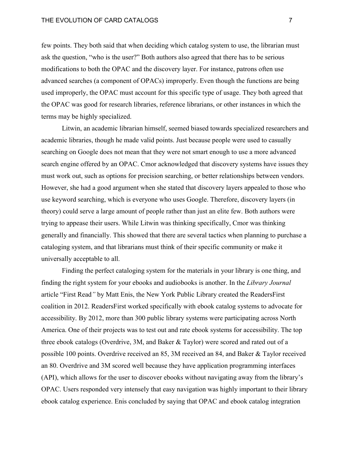# THE EVOLUTION OF CARD CATALOGS **7** THE EVOLUTION OF CARD CATALOGS

few points. They both said that when deciding which catalog system to use, the librarian must ask the question, "who is the user?" Both authors also agreed that there has to be serious modifications to both the OPAC and the discovery layer. For instance, patrons often use advanced searches (a component of OPACs) improperly. Even though the functions are being used improperly, the OPAC must account for this specific type of usage. They both agreed that the OPAC was good for research libraries, reference librarians, or other instances in which the terms may be highly specialized.

Litwin, an academic librarian himself, seemed biased towards specialized researchers and academic libraries, though he made valid points. Just because people were used to casually searching on Google does not mean that they were not smart enough to use a more advanced search engine offered by an OPAC. Cmor acknowledged that discovery systems have issues they must work out, such as options for precision searching, or better relationships between vendors. However, she had a good argument when she stated that discovery layers appealed to those who use keyword searching, which is everyone who uses Google. Therefore, discovery layers (in theory) could serve a large amount of people rather than just an elite few. Both authors were trying to appease their users. While Litwin was thinking specifically, Cmor was thinking generally and financially. This showed that there are several tactics when planning to purchase a cataloging system, and that librarians must think of their specific community or make it universally acceptable to all.

Finding the perfect cataloging system for the materials in your library is one thing, and finding the right system for your ebooks and audiobooks is another. In the *Library Journal* article "First Read*"* by Matt Enis, the New York Public Library created the ReadersFirst coalition in 2012. ReadersFirst worked specifically with ebook catalog systems to advocate for accessibility. By 2012, more than 300 public library systems were participating across North America. One of their projects was to test out and rate ebook systems for accessibility. The top three ebook catalogs (Overdrive, 3M, and Baker & Taylor) were scored and rated out of a possible 100 points. Overdrive received an 85, 3M received an 84, and Baker & Taylor received an 80. Overdrive and 3M scored well because they have application programming interfaces (API), which allows for the user to discover ebooks without navigating away from the library's OPAC. Users responded very intensely that easy navigation was highly important to their library ebook catalog experience. Enis concluded by saying that OPAC and ebook catalog integration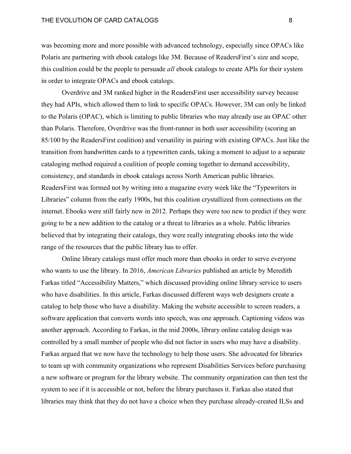# THE EVOLUTION OF CARD CATALOGS AND RESIDENCE ASSESSED.

was becoming more and more possible with advanced technology, especially since OPACs like Polaris are partnering with ebook catalogs like 3M. Because of ReadersFirst's size and scope, this coalition could be the people to persuade *all* ebook catalogs to create APIs for their system in order to integrate OPACs and ebook catalogs.

Overdrive and 3M ranked higher in the ReadersFirst user accessibility survey because they had APIs, which allowed them to link to specific OPACs. However, 3M can only be linked to the Polaris (OPAC), which is limiting to public libraries who may already use an OPAC other than Polaris. Therefore, Overdrive was the front-runner in both user accessibility (scoring an 85/100 by the ReadersFirst coalition) and versatility in pairing with existing OPACs. Just like the transition from handwritten cards to a typewritten cards, taking a moment to adjust to a separate cataloging method required a coalition of people coming together to demand accessibility, consistency, and standards in ebook catalogs across North American public libraries. ReadersFirst was formed not by writing into a magazine every week like the "Typewriters in Libraries" column from the early 1900s, but this coalition crystallized from connections on the internet. Ebooks were still fairly new in 2012. Perhaps they were too new to predict if they were going to be a new addition to the catalog or a threat to libraries as a whole. Public libraries believed that by integrating their catalogs, they were really integrating ebooks into the wide range of the resources that the public library has to offer.

Online library catalogs must offer much more than ebooks in order to serve everyone who wants to use the library. In 2016, *American Libraries* published an article by Meredith Farkas titled "Accessibility Matters," which discussed providing online library service to users who have disabilities. In this article, Farkas discussed different ways web designers create a catalog to help those who have a disability. Making the website accessible to screen readers, a software application that converts words into speech, was one approach. Captioning videos was another approach. According to Farkas, in the mid 2000s, library online catalog design was controlled by a small number of people who did not factor in users who may have a disability. Farkas argued that we now have the technology to help those users. She advocated for libraries to team up with community organizations who represent Disabilities Services before purchasing a new software or program for the library website. The community organization can then test the system to see if it is accessible or not, before the library purchases it. Farkas also stated that libraries may think that they do not have a choice when they purchase already-created ILSs and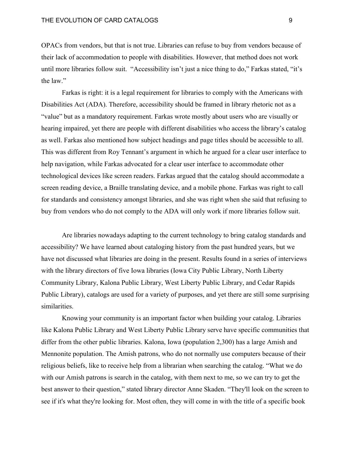OPACs from vendors, but that is not true. Libraries can refuse to buy from vendors because of their lack of accommodation to people with disabilities. However, that method does not work until more libraries follow suit. "Accessibility isn't just a nice thing to do," Farkas stated, "it's the law."

Farkas is right: it is a legal requirement for libraries to comply with the Americans with Disabilities Act (ADA). Therefore, accessibility should be framed in library rhetoric not as a "value" but as a mandatory requirement. Farkas wrote mostly about users who are visually or hearing impaired, yet there are people with different disabilities who access the library's catalog as well. Farkas also mentioned how subject headings and page titles should be accessible to all. This was different from Roy Tennant's argument in which he argued for a clear user interface to help navigation, while Farkas advocated for a clear user interface to accommodate other technological devices like screen readers. Farkas argued that the catalog should accommodate a screen reading device, a Braille translating device, and a mobile phone. Farkas was right to call for standards and consistency amongst libraries, and she was right when she said that refusing to buy from vendors who do not comply to the ADA will only work if more libraries follow suit.

Are libraries nowadays adapting to the current technology to bring catalog standards and accessibility? We have learned about cataloging history from the past hundred years, but we have not discussed what libraries are doing in the present. Results found in a series of interviews with the library directors of five Iowa libraries (Iowa City Public Library, North Liberty Community Library, Kalona Public Library, West Liberty Public Library, and Cedar Rapids Public Library), catalogs are used for a variety of purposes, and yet there are still some surprising similarities.

Knowing your community is an important factor when building your catalog. Libraries like Kalona Public Library and West Liberty Public Library serve have specific communities that differ from the other public libraries. Kalona, Iowa (population 2,300) has a large Amish and Mennonite population. The Amish patrons, who do not normally use computers because of their religious beliefs, like to receive help from a librarian when searching the catalog. "What we do with our Amish patrons is search in the catalog, with them next to me, so we can try to get the best answer to their question," stated library director Anne Skaden. "They'll look on the screen to see if it's what they're looking for. Most often, they will come in with the title of a specific book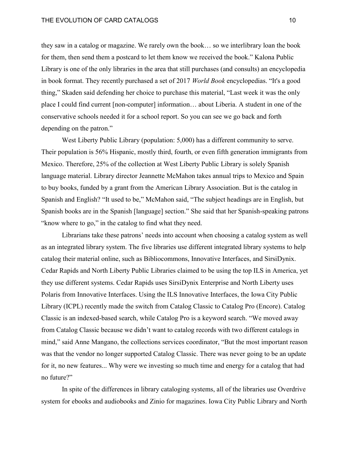# THE EVOLUTION OF CARD CATALOGS **100 CM CONTACT CONTROL**

they saw in a catalog or magazine. We rarely own the book… so we interlibrary loan the book for them, then send them a postcard to let them know we received the book." Kalona Public Library is one of the only libraries in the area that still purchases (and consults) an encyclopedia in book format. They recently purchased a set of 2017 *World Book* encyclopedias. "It's a good thing," Skaden said defending her choice to purchase this material, "Last week it was the only place I could find current [non-computer] information… about Liberia. A student in one of the conservative schools needed it for a school report. So you can see we go back and forth depending on the patron."

West Liberty Public Library (population: 5,000) has a different community to serve. Their population is 56% Hispanic, mostly third, fourth, or even fifth generation immigrants from Mexico. Therefore, 25% of the collection at West Liberty Public Library is solely Spanish language material. Library director Jeannette McMahon takes annual trips to Mexico and Spain to buy books, funded by a grant from the American Library Association. But is the catalog in Spanish and English? "It used to be," McMahon said, "The subject headings are in English, but Spanish books are in the Spanish [language] section." She said that her Spanish-speaking patrons "know where to go," in the catalog to find what they need.

Librarians take these patrons' needs into account when choosing a catalog system as well as an integrated library system. The five libraries use different integrated library systems to help catalog their material online, such as Bibliocommons, Innovative Interfaces, and SirsiDynix. Cedar Rapids and North Liberty Public Libraries claimed to be using the top ILS in America, yet they use different systems. Cedar Rapids uses SirsiDynix Enterprise and North Liberty uses Polaris from Innovative Interfaces. Using the ILS Innovative Interfaces, the Iowa City Public Library (ICPL) recently made the switch from Catalog Classic to Catalog Pro (Encore). Catalog Classic is an indexed-based search, while Catalog Pro is a keyword search. "We moved away from Catalog Classic because we didn't want to catalog records with two different catalogs in mind," said Anne Mangano, the collections services coordinator, "But the most important reason was that the vendor no longer supported Catalog Classic. There was never going to be an update for it, no new features... Why were we investing so much time and energy for a catalog that had no future?"

In spite of the differences in library cataloging systems, all of the libraries use Overdrive system for ebooks and audiobooks and Zinio for magazines. Iowa City Public Library and North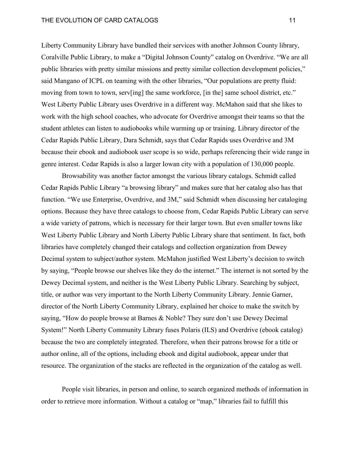Liberty Community Library have bundled their services with another Johnson County library, Coralville Public Library, to make a "Digital Johnson County" catalog on Overdrive. "We are all public libraries with pretty similar missions and pretty similar collection development policies," said Mangano of ICPL on teaming with the other libraries, "Our populations are pretty fluid: moving from town to town, serv[ing] the same workforce, [in the] same school district, etc." West Liberty Public Library uses Overdrive in a different way. McMahon said that she likes to work with the high school coaches, who advocate for Overdrive amongst their teams so that the student athletes can listen to audiobooks while warming up or training. Library director of the Cedar Rapids Public Library, Dara Schmidt, says that Cedar Rapids uses Overdrive and 3M because their ebook and audiobook user scope is so wide, perhaps referencing their wide range in genre interest. Cedar Rapids is also a larger Iowan city with a population of 130,000 people.

Browsability was another factor amongst the various library catalogs. Schmidt called Cedar Rapids Public Library "a browsing library" and makes sure that her catalog also has that function. "We use Enterprise, Overdrive, and 3M," said Schmidt when discussing her cataloging options. Because they have three catalogs to choose from, Cedar Rapids Public Library can serve a wide variety of patrons, which is necessary for their larger town. But even smaller towns like West Liberty Public Library and North Liberty Public Library share that sentiment. In fact, both libraries have completely changed their catalogs and collection organization from Dewey Decimal system to subject/author system. McMahon justified West Liberty's decision to switch by saying, "People browse our shelves like they do the internet." The internet is not sorted by the Dewey Decimal system, and neither is the West Liberty Public Library. Searching by subject, title, or author was very important to the North Liberty Community Library. Jennie Garner, director of the North Liberty Community Library, explained her choice to make the switch by saying, "How do people browse at Barnes & Noble? They sure don't use Dewey Decimal System!" North Liberty Community Library fuses Polaris (ILS) and Overdrive (ebook catalog) because the two are completely integrated. Therefore, when their patrons browse for a title or author online, all of the options, including ebook and digital audiobook, appear under that resource. The organization of the stacks are reflected in the organization of the catalog as well.

People visit libraries, in person and online, to search organized methods of information in order to retrieve more information. Without a catalog or "map," libraries fail to fulfill this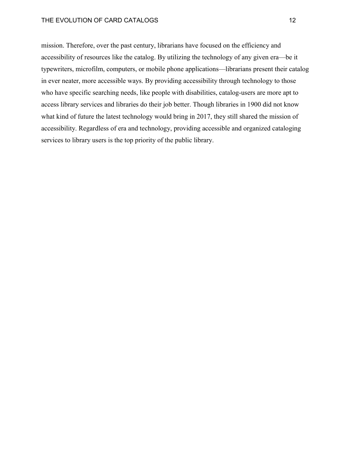# THE EVOLUTION OF CARD CATALOGS 12

mission. Therefore, over the past century, librarians have focused on the efficiency and accessibility of resources like the catalog. By utilizing the technology of any given era—be it typewriters, microfilm, computers, or mobile phone applications—librarians present their catalog in ever neater, more accessible ways. By providing accessibility through technology to those who have specific searching needs, like people with disabilities, catalog-users are more apt to access library services and libraries do their job better. Though libraries in 1900 did not know what kind of future the latest technology would bring in 2017, they still shared the mission of accessibility. Regardless of era and technology, providing accessible and organized cataloging services to library users is the top priority of the public library.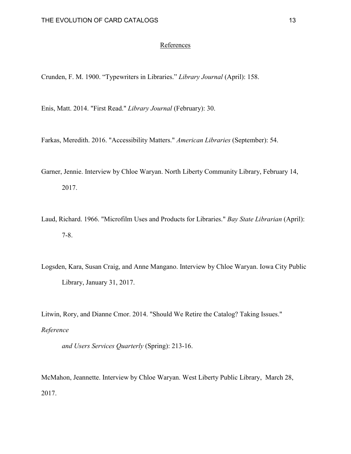# References

Crunden, F. M. 1900. "Typewriters in Libraries." *Library Journal* (April): 158.

Enis, Matt. 2014. "First Read." *Library Journal* (February): 30.

Farkas, Meredith. 2016. "Accessibility Matters." *American Libraries* (September): 54.

- Garner, Jennie. Interview by Chloe Waryan. North Liberty Community Library, February 14, 2017.
- Laud, Richard. 1966. "Microfilm Uses and Products for Libraries." *Bay State Librarian* (April): 7-8.
- Logsden, Kara, Susan Craig, and Anne Mangano. Interview by Chloe Waryan. Iowa City Public Library, January 31, 2017.

Litwin, Rory, and Dianne Cmor. 2014. "Should We Retire the Catalog? Taking Issues." *Reference* 

*and Users Services Quarterly* (Spring): 213-16.

McMahon, Jeannette. Interview by Chloe Waryan. West Liberty Public Library, March 28, 2017.